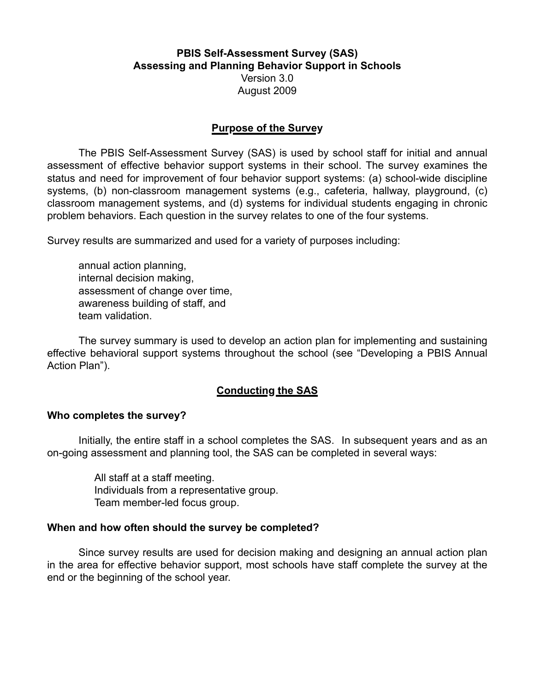## **PBIS Self-Assessment Survey (SAS) Assessing and Planning Behavior Support in Schools** Version 3.0 August 2009

#### **Purpose of the Survey**

The PBIS Self-Assessment Survey (SAS) is used by school staff for initial and annual assessment of effective behavior support systems in their school. The survey examines the status and need for improvement of four behavior support systems: (a) school-wide discipline systems, (b) non-classroom management systems (e.g., cafeteria, hallway, playground, (c) classroom management systems, and (d) systems for individual students engaging in chronic problem behaviors. Each question in the survey relates to one of the four systems.

Survey results are summarized and used for a variety of purposes including:

annual action planning, internal decision making, assessment of change over time, awareness building of staff, and team validation.

The survey summary is used to develop an action plan for implementing and sustaining effective behavioral support systems throughout the school (see "Developing a PBIS Annual Action Plan").

## **Conducting the SAS**

#### **Who completes the survey?**

Initially, the entire staff in a school completes the SAS. In subsequent years and as an on-going assessment and planning tool, the SAS can be completed in several ways:

> All staff at a staff meeting. Individuals from a representative group. Team member-led focus group.

#### **When and how often should the survey be completed?**

Since survey results are used for decision making and designing an annual action plan in the area for effective behavior support, most schools have staff complete the survey at the end or the beginning of the school year.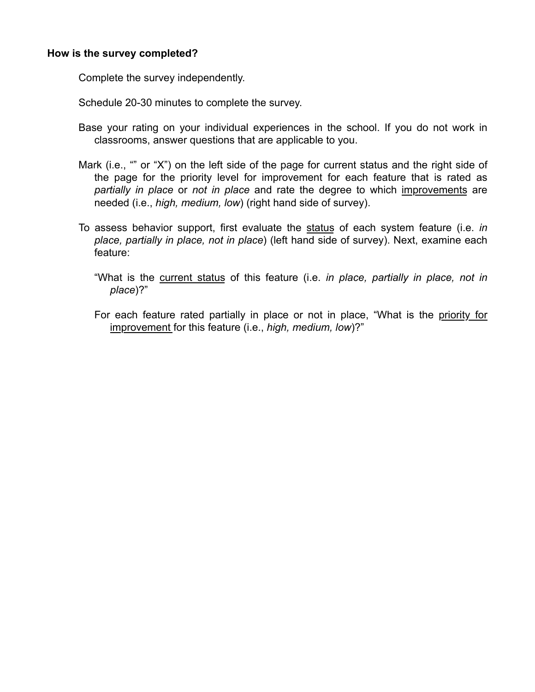#### **How is the survey completed?**

Complete the survey independently.

Schedule 20-30 minutes to complete the survey.

- Base your rating on your individual experiences in the school. If you do not work in classrooms, answer questions that are applicable to you.
- Mark (i.e., "" or "X") on the left side of the page for current status and the right side of the page for the priority level for improvement for each feature that is rated as *partially in place* or *not in place* and rate the degree to which improvements are needed (i.e., *high, medium, low*) (right hand side of survey).
- To assess behavior support, first evaluate the status of each system feature (i.e. *in place, partially in place, not in place*) (left hand side of survey). Next, examine each feature:
	- "What is the current status of this feature (i.e. *in place, partially in place, not in place*)?"
	- For each feature rated partially in place or not in place, "What is the priority for improvement for this feature (i.e., *high, medium, low*)?"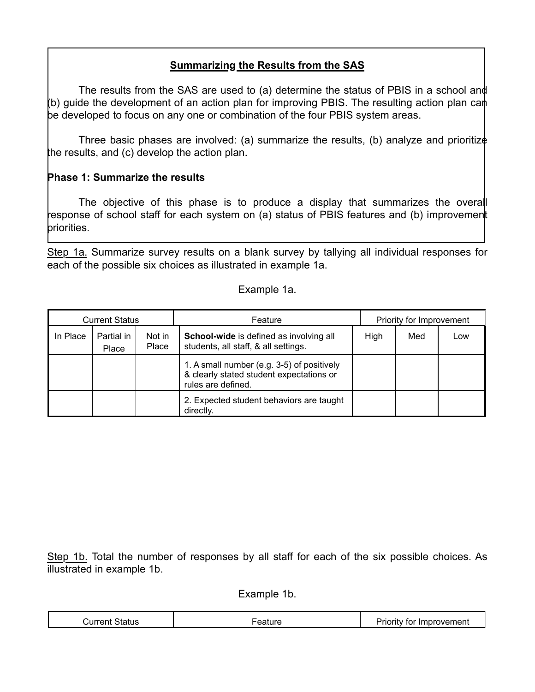# **Summarizing the Results from the SAS**

The results from the SAS are used to (a) determine the status of PBIS in a school and (b) guide the development of an action plan for improving PBIS. The resulting action plan can be developed to focus on any one or combination of the four PBIS system areas.

Three basic phases are involved: (a) summarize the results, (b) analyze and prioritize the results, and (c) develop the action plan.

## **Phase 1: Summarize the results**

The objective of this phase is to produce a display that summarizes the overall response of school staff for each system on (a) status of PBIS features and (b) improvement priorities.

Step 1a. Summarize survey results on a blank survey by tallying all individual responses for each of the possible six choices as illustrated in example 1a.

#### Example 1a.

| <b>Current Status</b> |                     |                 | Priority for Improvement<br>Feature                                                                          |      |     |     |  |
|-----------------------|---------------------|-----------------|--------------------------------------------------------------------------------------------------------------|------|-----|-----|--|
| In Place              | Partial in<br>Place | Not in<br>Place | School-wide is defined as involving all<br>students, all staff, & all settings.                              | High | Med | Low |  |
|                       |                     |                 | 1. A small number (e.g. 3-5) of positively<br>& clearly stated student expectations or<br>rules are defined. |      |     |     |  |
|                       |                     |                 | 2. Expected student behaviors are taught<br>directly.                                                        |      |     |     |  |

Step 1b. Total the number of responses by all staff for each of the six possible choices. As illustrated in example 1b.

Example 1b.

| .<br>----------- | $\overline{\phantom{0}}$<br>_ _ _ _ _ | $-$<br>--<br>יי<br>98 H.<br>______ |
|------------------|---------------------------------------|------------------------------------|
|------------------|---------------------------------------|------------------------------------|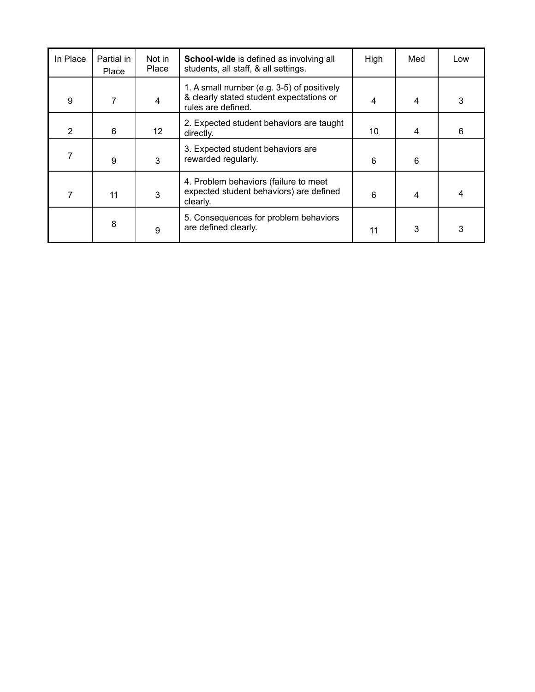| In Place | Partial in<br>Place | Not in<br>Place | <b>School-wide</b> is defined as involving all<br>students, all staff, & all settings.                       | High | Med | Low |
|----------|---------------------|-----------------|--------------------------------------------------------------------------------------------------------------|------|-----|-----|
| 9        | 7                   | 4               | 1. A small number (e.g. 3-5) of positively<br>& clearly stated student expectations or<br>rules are defined. |      | 4   | 3   |
| 2        | 6                   | 12 <sup>2</sup> | 2. Expected student behaviors are taught<br>directly.                                                        | 10   | 4   | 6   |
|          | 9                   | 3               | 3. Expected student behaviors are<br>rewarded regularly.                                                     | 6    | 6   |     |
|          | 11                  | 3               | 4. Problem behaviors (failure to meet<br>expected student behaviors) are defined<br>clearly.                 | 6    | 4   | 4   |
|          | 8                   | 9               | 5. Consequences for problem behaviors<br>are defined clearly.                                                | 11   | 3   | 3   |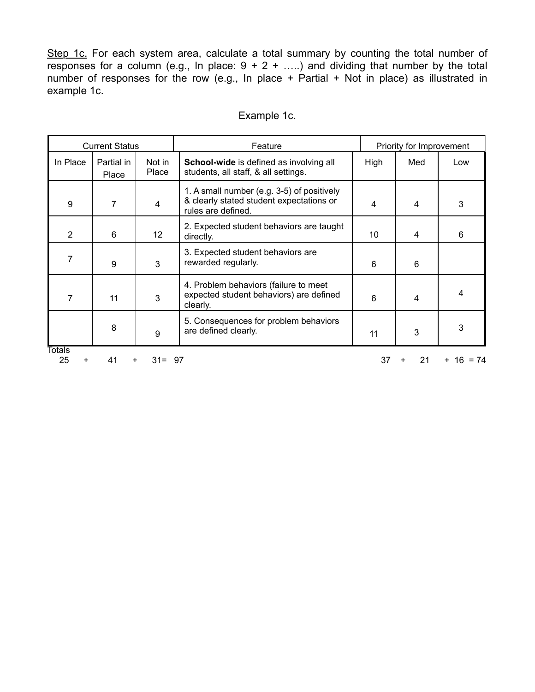Step 1c. For each system area, calculate a total summary by counting the total number of responses for a column (e.g., In place:  $9 + 2 + \ldots$ ) and dividing that number by the total number of responses for the row (e.g., In place + Partial + Not in place) as illustrated in example 1c.

| <b>Current Status</b> |                     |                 | Feature                                                                                                      | Priority for Improvement |         |           |
|-----------------------|---------------------|-----------------|--------------------------------------------------------------------------------------------------------------|--------------------------|---------|-----------|
| In Place              | Partial in<br>Place | Not in<br>Place | School-wide is defined as involving all<br>students, all staff, & all settings.                              | High                     | Med     | Low       |
| 9                     | 7                   | $\overline{4}$  | 1. A small number (e.g. 3-5) of positively<br>& clearly stated student expectations or<br>rules are defined. | 4                        | 4       | 3         |
| $\overline{2}$        | 6                   | 12              | 2. Expected student behaviors are taught<br>directly.                                                        | 10                       | 4       | 6         |
| 7                     | 9                   | 3               | 3. Expected student behaviors are<br>rewarded regularly.                                                     | 6                        | 6       |           |
| 7                     | 11                  | 3               | 4. Problem behaviors (failure to meet<br>expected student behaviors) are defined<br>clearly.                 | 6                        | 4       | 4         |
|                       | 8                   | 9               | 5. Consequences for problem behaviors<br>are defined clearly.                                                | 11                       | 3       | 3         |
| Totals<br>25<br>+     | 41<br>+             | $31 = 97$       |                                                                                                              | 37                       | 21<br>+ | + 16 = 74 |

## Example 1c.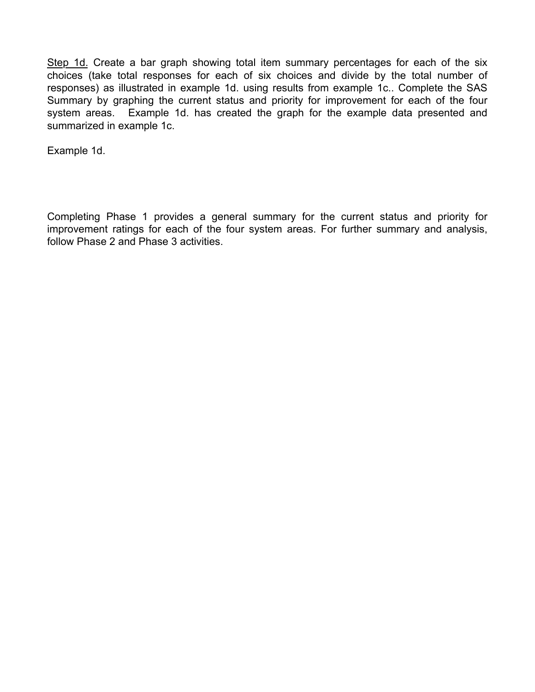Step 1d. Create a bar graph showing total item summary percentages for each of the six choices (take total responses for each of six choices and divide by the total number of responses) as illustrated in example 1d. using results from example 1c.. Complete the SAS Summary by graphing the current status and priority for improvement for each of the four system areas. Example 1d. has created the graph for the example data presented and summarized in example 1c.

Example 1d.

Completing Phase 1 provides a general summary for the current status and priority for improvement ratings for each of the four system areas. For further summary and analysis, follow Phase 2 and Phase 3 activities.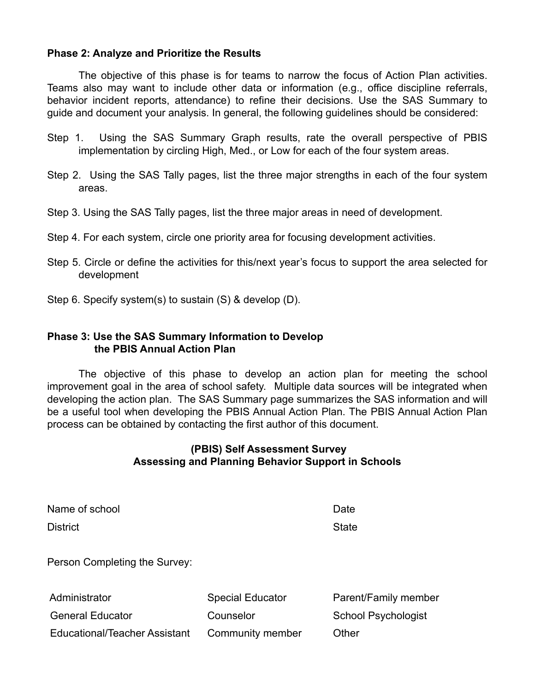### **Phase 2: Analyze and Prioritize the Results**

The objective of this phase is for teams to narrow the focus of Action Plan activities. Teams also may want to include other data or information (e.g., office discipline referrals, behavior incident reports, attendance) to refine their decisions. Use the SAS Summary to guide and document your analysis. In general, the following guidelines should be considered:

- Step 1. Using the SAS Summary Graph results, rate the overall perspective of PBIS implementation by circling High, Med., or Low for each of the four system areas.
- Step 2. Using the SAS Tally pages, list the three major strengths in each of the four system areas.
- Step 3. Using the SAS Tally pages, list the three major areas in need of development.
- Step 4. For each system, circle one priority area for focusing development activities.
- Step 5. Circle or define the activities for this/next year's focus to support the area selected for development
- Step 6. Specify system(s) to sustain (S) & develop (D).

## **Phase 3: Use the SAS Summary Information to Develop the PBIS Annual Action Plan**

The objective of this phase to develop an action plan for meeting the school improvement goal in the area of school safety. Multiple data sources will be integrated when developing the action plan. The SAS Summary page summarizes the SAS information and will be a useful tool when developing the PBIS Annual Action Plan. The PBIS Annual Action Plan process can be obtained by contacting the first author of this document.

## **(PBIS) Self Assessment Survey Assessing and Planning Behavior Support in Schools**

| Name of school                |                  | Date                |
|-------------------------------|------------------|---------------------|
| <b>District</b>               |                  | <b>State</b>        |
| Person Completing the Survey: |                  |                     |
| Adminictrator                 | Snacial Educator | Parant/Family mamha |

Administrator **National Special Educator** Parent/Family member General Educator **Counselor** Counselor School Psychologist Educational/Teacher Assistant Community member Other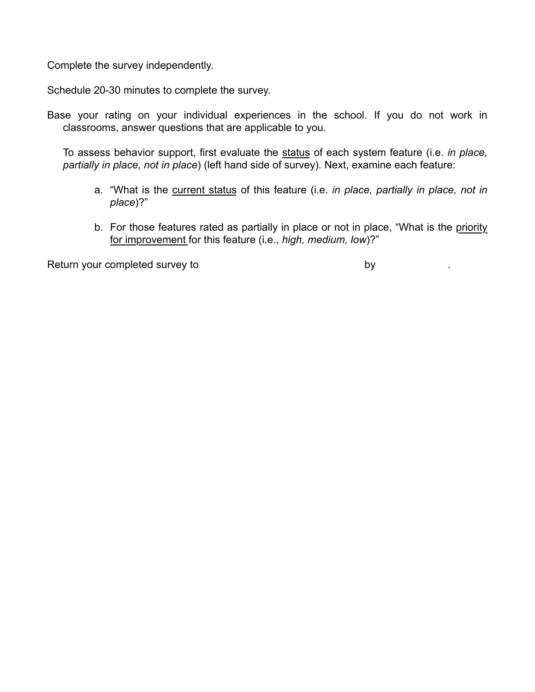Complete the survey independently.

Schedule 20-30 minutes to complete the survey.

Base your rating on your individual experiences in the school. If you do not work in classrooms, answer questions that are applicable to you.

To assess behavior support, first evaluate the status of each system feature (i.e. *in place, partially in place, not in place*) (left hand side of survey). Next, examine each feature:

- a. "What is the current status of this feature (i.e. *in place, partially in place, not in place*)?"
- b. For those features rated as partially in place or not in place, "What is the priority for improvement for this feature (i.e., *high, medium, low*)?"

Return your completed survey to by the by the by the by the by the by the by the by the by the by the by the by the by the by the by the by the by the by the by the by the by the by the by the by the by the by the by the b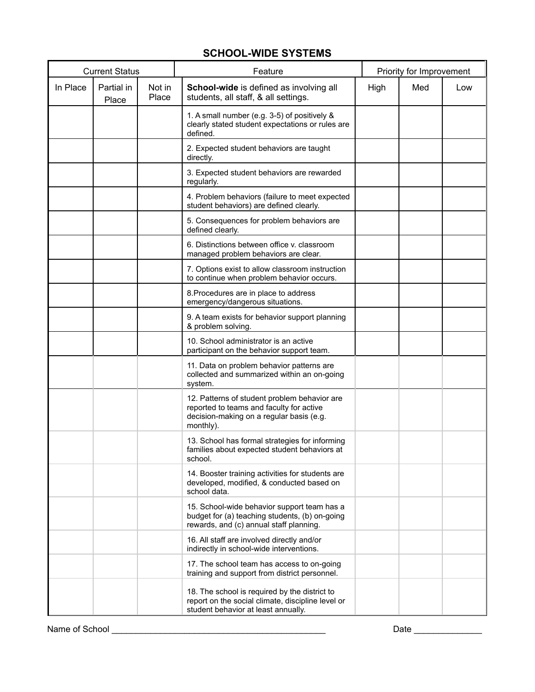# **SCHOOL-WIDE SYSTEMS**

| <b>Current Status</b> |                     |                 | Feature                                                                                                                                           |      |     | Priority for Improvement |  |
|-----------------------|---------------------|-----------------|---------------------------------------------------------------------------------------------------------------------------------------------------|------|-----|--------------------------|--|
| In Place              | Partial in<br>Place | Not in<br>Place | School-wide is defined as involving all<br>students, all staff, & all settings.                                                                   | High | Med | Low                      |  |
|                       |                     |                 | 1. A small number (e.g. 3-5) of positively &<br>clearly stated student expectations or rules are<br>defined.                                      |      |     |                          |  |
|                       |                     |                 | 2. Expected student behaviors are taught<br>directly.                                                                                             |      |     |                          |  |
|                       |                     |                 | 3. Expected student behaviors are rewarded<br>regularly.                                                                                          |      |     |                          |  |
|                       |                     |                 | 4. Problem behaviors (failure to meet expected<br>student behaviors) are defined clearly.                                                         |      |     |                          |  |
|                       |                     |                 | 5. Consequences for problem behaviors are<br>defined clearly.                                                                                     |      |     |                          |  |
|                       |                     |                 | 6. Distinctions between office v. classroom<br>managed problem behaviors are clear.                                                               |      |     |                          |  |
|                       |                     |                 | 7. Options exist to allow classroom instruction<br>to continue when problem behavior occurs.                                                      |      |     |                          |  |
|                       |                     |                 | 8. Procedures are in place to address<br>emergency/dangerous situations.                                                                          |      |     |                          |  |
|                       |                     |                 | 9. A team exists for behavior support planning<br>& problem solving.                                                                              |      |     |                          |  |
|                       |                     |                 | 10. School administrator is an active<br>participant on the behavior support team.                                                                |      |     |                          |  |
|                       |                     |                 | 11. Data on problem behavior patterns are<br>collected and summarized within an on-going<br>system.                                               |      |     |                          |  |
|                       |                     |                 | 12. Patterns of student problem behavior are<br>reported to teams and faculty for active<br>decision-making on a regular basis (e.g.<br>monthly). |      |     |                          |  |
|                       |                     |                 | 13. School has formal strategies for informing<br>families about expected student behaviors at<br>school.                                         |      |     |                          |  |
|                       |                     |                 | 14. Booster training activities for students are<br>developed, modified, & conducted based on<br>school data.                                     |      |     |                          |  |
|                       |                     |                 | 15. School-wide behavior support team has a<br>budget for (a) teaching students, (b) on-going<br>rewards, and (c) annual staff planning.          |      |     |                          |  |
|                       |                     |                 | 16. All staff are involved directly and/or<br>indirectly in school-wide interventions.                                                            |      |     |                          |  |
|                       |                     |                 | 17. The school team has access to on-going<br>training and support from district personnel.                                                       |      |     |                          |  |
|                       |                     |                 | 18. The school is required by the district to<br>report on the social climate, discipline level or<br>student behavior at least annually.         |      |     |                          |  |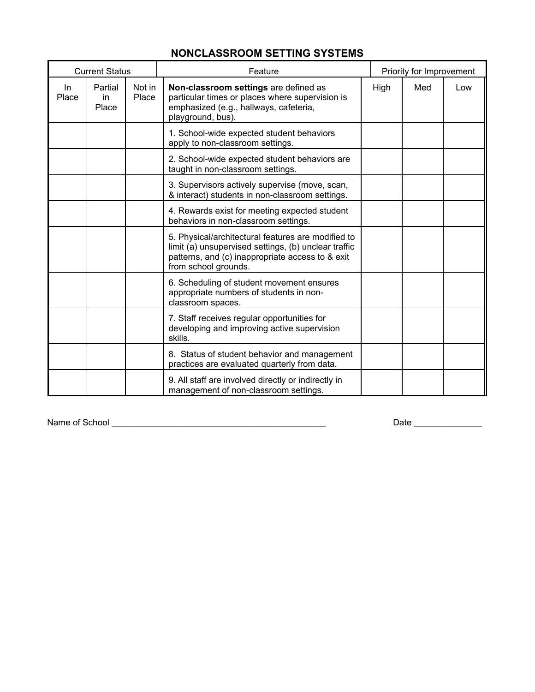| <b>NONCLASSROOM SETTING SYSTEMS</b> |  |  |
|-------------------------------------|--|--|
|-------------------------------------|--|--|

|              | <b>Current Status</b>  |                 | Feature                                                                                                                                                                                | Priority for Improvement |     |     |  |
|--------------|------------------------|-----------------|----------------------------------------------------------------------------------------------------------------------------------------------------------------------------------------|--------------------------|-----|-----|--|
| In.<br>Place | Partial<br>in<br>Place | Not in<br>Place | Non-classroom settings are defined as<br>particular times or places where supervision is<br>emphasized (e.g., hallways, cafeteria,<br>playground, bus).                                | High                     | Med | Low |  |
|              |                        |                 | 1. School-wide expected student behaviors<br>apply to non-classroom settings.                                                                                                          |                          |     |     |  |
|              |                        |                 | 2. School-wide expected student behaviors are<br>taught in non-classroom settings.                                                                                                     |                          |     |     |  |
|              |                        |                 | 3. Supervisors actively supervise (move, scan,<br>& interact) students in non-classroom settings.                                                                                      |                          |     |     |  |
|              |                        |                 | 4. Rewards exist for meeting expected student<br>behaviors in non-classroom settings.                                                                                                  |                          |     |     |  |
|              |                        |                 | 5. Physical/architectural features are modified to<br>limit (a) unsupervised settings, (b) unclear traffic<br>patterns, and (c) inappropriate access to & exit<br>from school grounds. |                          |     |     |  |
|              |                        |                 | 6. Scheduling of student movement ensures<br>appropriate numbers of students in non-<br>classroom spaces.                                                                              |                          |     |     |  |
|              |                        |                 | 7. Staff receives regular opportunities for<br>developing and improving active supervision<br>skills.                                                                                  |                          |     |     |  |
|              |                        |                 | 8. Status of student behavior and management<br>practices are evaluated quarterly from data.                                                                                           |                          |     |     |  |
|              |                        |                 | 9. All staff are involved directly or indirectly in<br>management of non-classroom settings.                                                                                           |                          |     |     |  |

Name of School \_\_\_\_\_\_\_\_\_\_\_\_\_\_\_\_\_\_\_\_\_\_\_\_\_\_\_\_\_\_\_\_\_\_\_\_\_\_\_\_\_\_\_\_ Date \_\_\_\_\_\_\_\_\_\_\_\_\_\_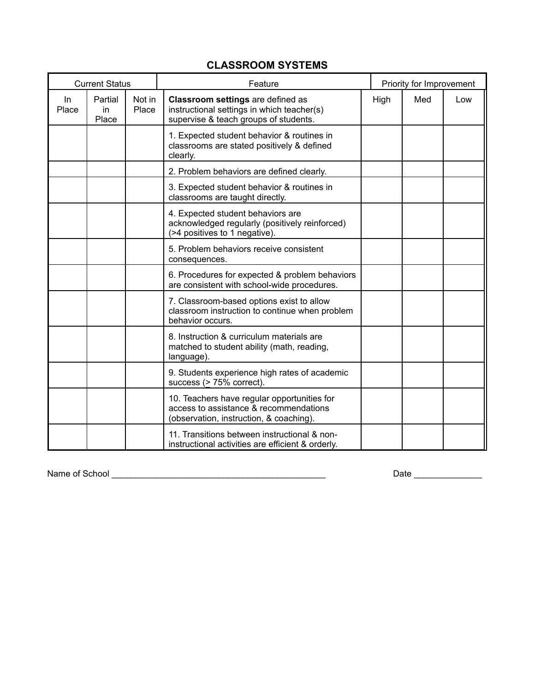# **CLASSROOM SYSTEMS**

| <b>Current Status</b> |                        |                 | Feature                                                                                                                          |             | Priority for Improvement |     |
|-----------------------|------------------------|-----------------|----------------------------------------------------------------------------------------------------------------------------------|-------------|--------------------------|-----|
| In<br>Place           | Partial<br>in<br>Place | Not in<br>Place | Classroom settings are defined as<br>instructional settings in which teacher(s)<br>supervise & teach groups of students.         | High<br>Med |                          | Low |
|                       |                        |                 | 1. Expected student behavior & routines in<br>classrooms are stated positively & defined<br>clearly.                             |             |                          |     |
|                       |                        |                 | 2. Problem behaviors are defined clearly.                                                                                        |             |                          |     |
|                       |                        |                 | 3. Expected student behavior & routines in<br>classrooms are taught directly.                                                    |             |                          |     |
|                       |                        |                 | 4. Expected student behaviors are<br>acknowledged regularly (positively reinforced)<br>(>4 positives to 1 negative).             |             |                          |     |
|                       |                        |                 | 5. Problem behaviors receive consistent<br>consequences.                                                                         |             |                          |     |
|                       |                        |                 | 6. Procedures for expected & problem behaviors<br>are consistent with school-wide procedures.                                    |             |                          |     |
|                       |                        |                 | 7. Classroom-based options exist to allow<br>classroom instruction to continue when problem<br>behavior occurs.                  |             |                          |     |
|                       |                        |                 | 8. Instruction & curriculum materials are<br>matched to student ability (math, reading,<br>language).                            |             |                          |     |
|                       |                        |                 | 9. Students experience high rates of academic<br>success (> 75% correct).                                                        |             |                          |     |
|                       |                        |                 | 10. Teachers have regular opportunities for<br>access to assistance & recommendations<br>(observation, instruction, & coaching). |             |                          |     |
|                       |                        |                 | 11. Transitions between instructional & non-<br>instructional activities are efficient & orderly.                                |             |                          |     |

Name of School \_\_\_\_\_\_\_\_\_\_\_\_\_\_\_\_\_\_\_\_\_\_\_\_\_\_\_\_\_\_\_\_\_\_\_\_\_\_\_\_\_\_\_\_ Date \_\_\_\_\_\_\_\_\_\_\_\_\_\_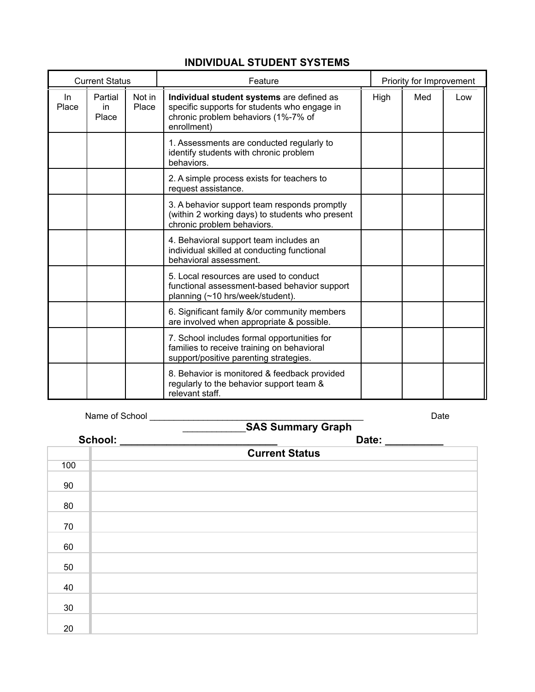# **INDIVIDUAL STUDENT SYSTEMS**

| <b>Current Status</b> |                         |                 | Feature                                                                                                                                         |      | Priority for Improvement |     |
|-----------------------|-------------------------|-----------------|-------------------------------------------------------------------------------------------------------------------------------------------------|------|--------------------------|-----|
| In.<br>Place          | Partial<br>in.<br>Place | Not in<br>Place | Individual student systems are defined as<br>specific supports for students who engage in<br>chronic problem behaviors (1%-7% of<br>enrollment) | High | Med                      | Low |
|                       |                         |                 | 1. Assessments are conducted regularly to<br>identify students with chronic problem<br>behaviors.                                               |      |                          |     |
|                       |                         |                 | 2. A simple process exists for teachers to<br>request assistance.                                                                               |      |                          |     |
|                       |                         |                 | 3. A behavior support team responds promptly<br>(within 2 working days) to students who present<br>chronic problem behaviors.                   |      |                          |     |
|                       |                         |                 | 4. Behavioral support team includes an<br>individual skilled at conducting functional<br>behavioral assessment.                                 |      |                          |     |
|                       |                         |                 | 5. Local resources are used to conduct<br>functional assessment-based behavior support<br>planning (~10 hrs/week/student).                      |      |                          |     |
|                       |                         |                 | 6. Significant family &/or community members<br>are involved when appropriate & possible.                                                       |      |                          |     |
|                       |                         |                 | 7. School includes formal opportunities for<br>families to receive training on behavioral<br>support/positive parenting strategies.             |      |                          |     |
|                       |                         |                 | 8. Behavior is monitored & feedback provided<br>regularly to the behavior support team &<br>relevant staff.                                     |      |                          |     |

Name of School \_\_\_\_\_\_\_\_\_\_\_\_\_\_\_\_\_\_\_\_\_\_\_\_\_\_\_\_\_\_\_\_\_\_\_\_\_\_\_\_\_\_\_\_ Date

| $\overline{1}$ |                | <b>SAS Summary Graph</b> | puw |  |
|----------------|----------------|--------------------------|-----|--|
|                | School: ______ | Date: ______             |     |  |
|                |                | <b>Current Status</b>    |     |  |
| 100            |                |                          |     |  |
| 90             |                |                          |     |  |
| 80             |                |                          |     |  |
| 70             |                |                          |     |  |
| 60             |                |                          |     |  |
| 50             |                |                          |     |  |
| 40             |                |                          |     |  |
| 30             |                |                          |     |  |
| 20             |                |                          |     |  |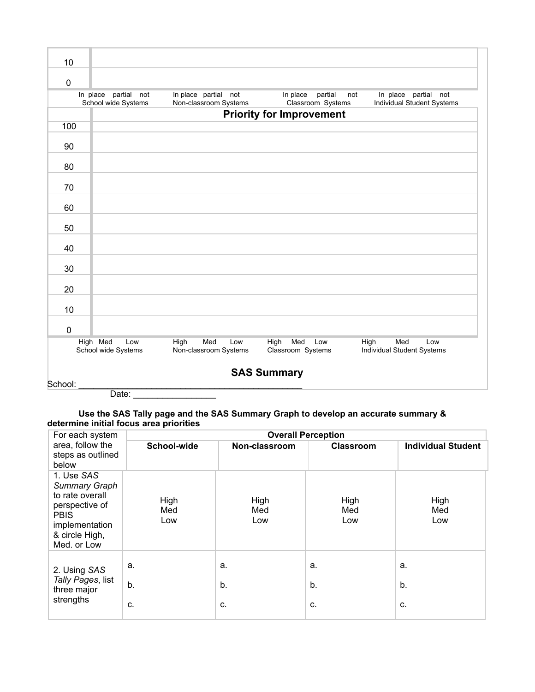| 10                                                                                                                                                                                   |                                                                                                                                                                                                       |  |                                 |  |  |  |  |  |  |  |
|--------------------------------------------------------------------------------------------------------------------------------------------------------------------------------------|-------------------------------------------------------------------------------------------------------------------------------------------------------------------------------------------------------|--|---------------------------------|--|--|--|--|--|--|--|
| $\mathbf 0$                                                                                                                                                                          |                                                                                                                                                                                                       |  |                                 |  |  |  |  |  |  |  |
|                                                                                                                                                                                      | In place partial not<br>In place partial not<br>partial<br>In place partial not<br>In place<br>not<br>Non-classroom Systems<br>Classroom Systems<br>Individual Student Systems<br>School wide Systems |  |                                 |  |  |  |  |  |  |  |
|                                                                                                                                                                                      |                                                                                                                                                                                                       |  | <b>Priority for Improvement</b> |  |  |  |  |  |  |  |
| 100                                                                                                                                                                                  |                                                                                                                                                                                                       |  |                                 |  |  |  |  |  |  |  |
| 90                                                                                                                                                                                   |                                                                                                                                                                                                       |  |                                 |  |  |  |  |  |  |  |
| 80                                                                                                                                                                                   |                                                                                                                                                                                                       |  |                                 |  |  |  |  |  |  |  |
| 70                                                                                                                                                                                   |                                                                                                                                                                                                       |  |                                 |  |  |  |  |  |  |  |
| 60                                                                                                                                                                                   |                                                                                                                                                                                                       |  |                                 |  |  |  |  |  |  |  |
| 50                                                                                                                                                                                   |                                                                                                                                                                                                       |  |                                 |  |  |  |  |  |  |  |
| 40                                                                                                                                                                                   |                                                                                                                                                                                                       |  |                                 |  |  |  |  |  |  |  |
| 30                                                                                                                                                                                   |                                                                                                                                                                                                       |  |                                 |  |  |  |  |  |  |  |
| 20                                                                                                                                                                                   |                                                                                                                                                                                                       |  |                                 |  |  |  |  |  |  |  |
| 10                                                                                                                                                                                   |                                                                                                                                                                                                       |  |                                 |  |  |  |  |  |  |  |
| $\mathbf 0$                                                                                                                                                                          |                                                                                                                                                                                                       |  |                                 |  |  |  |  |  |  |  |
| High Med<br>Med<br>High<br>Med<br>High<br>Low<br>High<br>Med<br>Low<br>Low<br>Low<br>School wide Systems<br>Non-classroom Systems<br>Classroom Systems<br>Individual Student Systems |                                                                                                                                                                                                       |  |                                 |  |  |  |  |  |  |  |
| <b>SAS Summary</b>                                                                                                                                                                   |                                                                                                                                                                                                       |  |                                 |  |  |  |  |  |  |  |

School:

Date: \_\_\_\_\_\_\_\_\_\_\_\_\_\_\_\_\_

# **Use the SAS Tally page and the SAS Summary Graph to develop an accurate summary &**

| determine initial focus area priorities |  |  |
|-----------------------------------------|--|--|
|                                         |  |  |

| For each system<br>area, follow the<br>steps as outlined<br>below                                                                         | <b>Overall Perception</b> |                    |                    |                           |  |  |
|-------------------------------------------------------------------------------------------------------------------------------------------|---------------------------|--------------------|--------------------|---------------------------|--|--|
|                                                                                                                                           | School-wide               | Non-classroom      | <b>Classroom</b>   | <b>Individual Student</b> |  |  |
| 1. Use SAS<br><b>Summary Graph</b><br>to rate overall<br>perspective of<br><b>PBIS</b><br>implementation<br>& circle High,<br>Med. or Low | High<br>Med<br>Low        | High<br>Med<br>Low | High<br>Med<br>Low | High<br>Med<br>Low        |  |  |
| 2. Using SAS<br>Tally Pages, list<br>three major<br>strengths                                                                             | a.<br>b.<br>C.            | a.<br>b.<br>C.     | a.<br>b.<br>C.     | a.<br>b.<br>C.            |  |  |